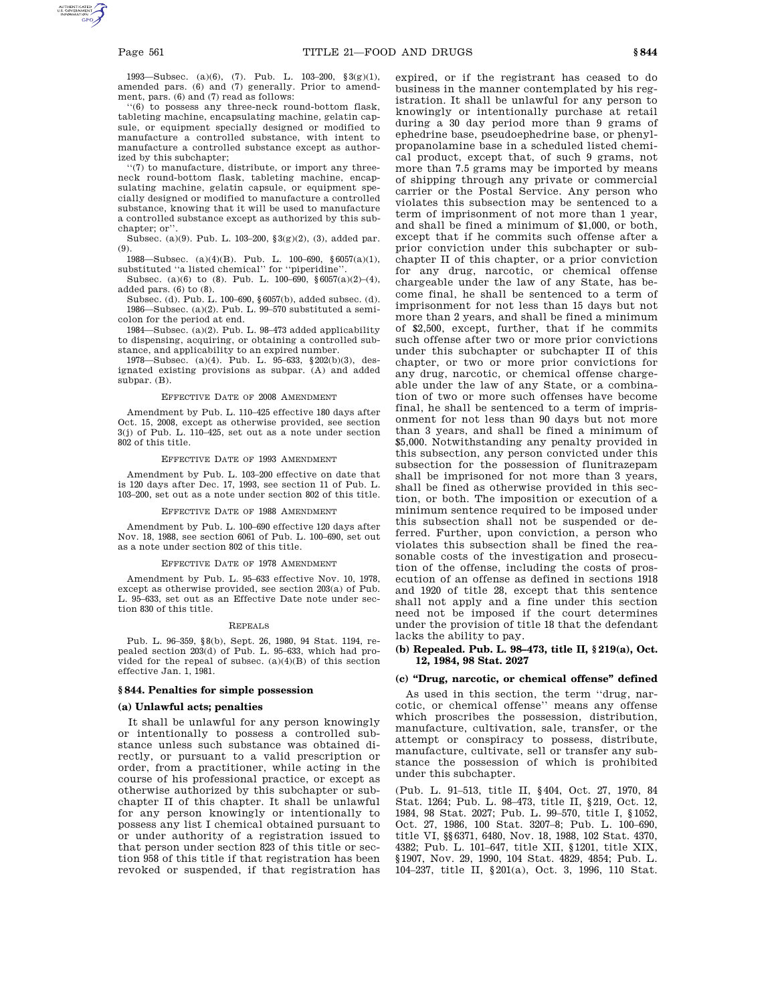1993—Subsec. (a)(6), (7). Pub. L. 103–200, §3(g)(1), amended pars. (6) and (7) generally. Prior to amendment, pars. (6) and (7) read as follows:

'(6) to possess any three-neck round-bottom flask, tableting machine, encapsulating machine, gelatin capsule, or equipment specially designed or modified to manufacture a controlled substance, with intent to manufacture a controlled substance except as authorized by this subchapter;

''(7) to manufacture, distribute, or import any threeneck round-bottom flask, tableting machine, encapsulating machine, gelatin capsule, or equipment specially designed or modified to manufacture a controlled substance, knowing that it will be used to manufacture a controlled substance except as authorized by this subchapter; or''.

Subsec. (a)(9). Pub. L. 103–200, §3(g)(2), (3), added par. (9).

1988—Subsec. (a)(4)(B). Pub. L. 100–690, §6057(a)(1), substituted ''a listed chemical'' for ''piperidine''.

Subsec. (a)(6) to (8). Pub. L. 100-690, §6057(a)(2)-(4), added pars. (6) to (8).

Subsec. (d). Pub. L. 100–690, §6057(b), added subsec. (d). 1986—Subsec. (a)(2). Pub. L. 99–570 substituted a semicolon for the period at end.

1984—Subsec. (a)(2). Pub. L. 98–473 added applicability to dispensing, acquiring, or obtaining a controlled substance, and applicability to an expired number.

1978—Subsec. (a)(4). Pub. L. 95–633, §202(b)(3), designated existing provisions as subpar. (A) and added subpar. (B).

#### EFFECTIVE DATE OF 2008 AMENDMENT

Amendment by Pub. L. 110–425 effective 180 days after Oct. 15, 2008, except as otherwise provided, see section 3(j) of Pub. L. 110–425, set out as a note under section 802 of this title.

#### EFFECTIVE DATE OF 1993 AMENDMENT

Amendment by Pub. L. 103–200 effective on date that is 120 days after Dec. 17, 1993, see section 11 of Pub. L. 103–200, set out as a note under section 802 of this title.

#### EFFECTIVE DATE OF 1988 AMENDMENT

Amendment by Pub. L. 100–690 effective 120 days after Nov. 18, 1988, see section 6061 of Pub. L. 100–690, set out as a note under section 802 of this title.

#### EFFECTIVE DATE OF 1978 AMENDMENT

Amendment by Pub. L. 95–633 effective Nov. 10, 1978, except as otherwise provided, see section 203(a) of Pub. L. 95–633, set out as an Effective Date note under section 830 of this title.

# REPEALS

Pub. L. 96–359, §8(b), Sept. 26, 1980, 94 Stat. 1194, repealed section 203(d) of Pub. L. 95–633, which had provided for the repeal of subsec.  $(a)(4)(B)$  of this section effective Jan. 1, 1981.

#### **§ 844. Penalties for simple possession**

#### **(a) Unlawful acts; penalties**

It shall be unlawful for any person knowingly or intentionally to possess a controlled substance unless such substance was obtained directly, or pursuant to a valid prescription or order, from a practitioner, while acting in the course of his professional practice, or except as otherwise authorized by this subchapter or subchapter II of this chapter. It shall be unlawful for any person knowingly or intentionally to possess any list I chemical obtained pursuant to or under authority of a registration issued to that person under section 823 of this title or section 958 of this title if that registration has been revoked or suspended, if that registration has

expired, or if the registrant has ceased to do business in the manner contemplated by his registration. It shall be unlawful for any person to knowingly or intentionally purchase at retail during a 30 day period more than 9 grams of ephedrine base, pseudoephedrine base, or phenylpropanolamine base in a scheduled listed chemical product, except that, of such 9 grams, not more than 7.5 grams may be imported by means of shipping through any private or commercial carrier or the Postal Service. Any person who violates this subsection may be sentenced to a term of imprisonment of not more than 1 year, and shall be fined a minimum of \$1,000, or both, except that if he commits such offense after a prior conviction under this subchapter or subchapter II of this chapter, or a prior conviction for any drug, narcotic, or chemical offense chargeable under the law of any State, has become final, he shall be sentenced to a term of imprisonment for not less than 15 days but not more than 2 years, and shall be fined a minimum of \$2,500, except, further, that if he commits such offense after two or more prior convictions under this subchapter or subchapter II of this chapter, or two or more prior convictions for any drug, narcotic, or chemical offense chargeable under the law of any State, or a combination of two or more such offenses have become final, he shall be sentenced to a term of imprisonment for not less than 90 days but not more than 3 years, and shall be fined a minimum of \$5,000. Notwithstanding any penalty provided in this subsection, any person convicted under this subsection for the possession of flunitrazepam shall be imprisoned for not more than 3 years, shall be fined as otherwise provided in this section, or both. The imposition or execution of a minimum sentence required to be imposed under this subsection shall not be suspended or deferred. Further, upon conviction, a person who violates this subsection shall be fined the reasonable costs of the investigation and prosecution of the offense, including the costs of prosecution of an offense as defined in sections 1918 and 1920 of title 28, except that this sentence shall not apply and a fine under this section need not be imposed if the court determines under the provision of title 18 that the defendant lacks the ability to pay.

## **(b) Repealed. Pub. L. 98–473, title II, § 219(a), Oct. 12, 1984, 98 Stat. 2027**

# **(c) ''Drug, narcotic, or chemical offense'' defined**

As used in this section, the term ''drug, narcotic, or chemical offense'' means any offense which proscribes the possession, distribution, manufacture, cultivation, sale, transfer, or the attempt or conspiracy to possess, distribute, manufacture, cultivate, sell or transfer any substance the possession of which is prohibited under this subchapter.

(Pub. L. 91–513, title II, §404, Oct. 27, 1970, 84 Stat. 1264; Pub. L. 98–473, title II, §219, Oct. 12, 1984, 98 Stat. 2027; Pub. L. 99–570, title I, §1052, Oct. 27, 1986, 100 Stat. 3207–8; Pub. L. 100–690, title VI, §§6371, 6480, Nov. 18, 1988, 102 Stat. 4370, 4382; Pub. L. 101–647, title XII, §1201, title XIX, §1907, Nov. 29, 1990, 104 Stat. 4829, 4854; Pub. L. 104–237, title II, §201(a), Oct. 3, 1996, 110 Stat.